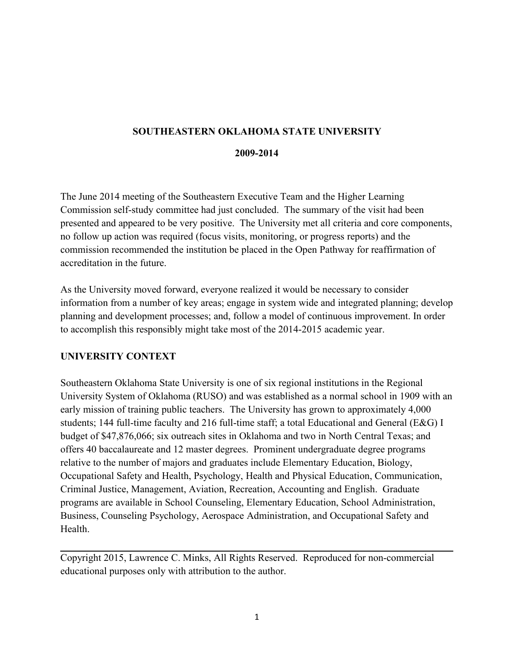## **SOUTHEASTERN OKLAHOMA STATE UNIVERSITY**

#### **2009-2014**

The June 2014 meeting of the Southeastern Executive Team and the Higher Learning Commission self-study committee had just concluded. The summary of the visit had been presented and appeared to be very positive. The University met all criteria and core components, no follow up action was required (focus visits, monitoring, or progress reports) and the commission recommended the institution be placed in the Open Pathway for reaffirmation of accreditation in the future.

As the University moved forward, everyone realized it would be necessary to consider information from a number of key areas; engage in system wide and integrated planning; develop planning and development processes; and, follow a model of continuous improvement. In order to accomplish this responsibly might take most of the 2014-2015 academic year.

## **UNIVERSITY CONTEXT**

Southeastern Oklahoma State University is one of six regional institutions in the Regional University System of Oklahoma (RUSO) and was established as a normal school in 1909 with an early mission of training public teachers. The University has grown to approximately 4,000 students; 144 full-time faculty and 216 full-time staff; a total Educational and General (E&G) I budget of \$47,876,066; six outreach sites in Oklahoma and two in North Central Texas; and offers 40 baccalaureate and 12 master degrees. Prominent undergraduate degree programs relative to the number of majors and graduates include Elementary Education, Biology, Occupational Safety and Health, Psychology, Health and Physical Education, Communication, Criminal Justice, Management, Aviation, Recreation, Accounting and English. Graduate programs are available in School Counseling, Elementary Education, School Administration, Business, Counseling Psychology, Aerospace Administration, and Occupational Safety and **Health** 

Copyright 2015, Lawrence C. Minks, All Rights Reserved. Reproduced for non-commercial educational purposes only with attribution to the author.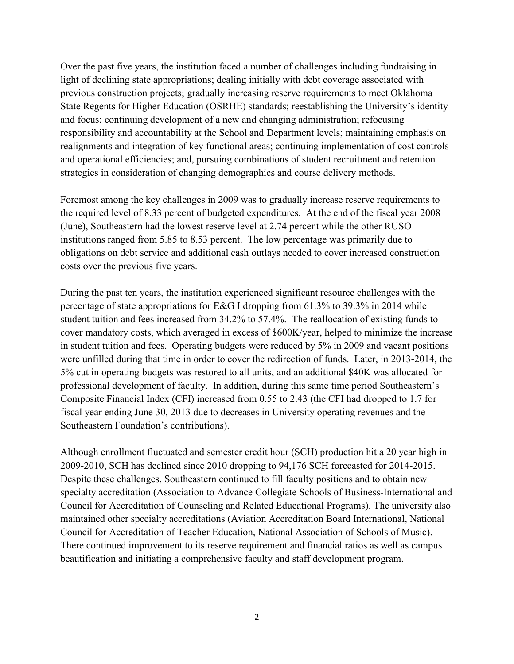Over the past five years, the institution faced a number of challenges including fundraising in light of declining state appropriations; dealing initially with debt coverage associated with previous construction projects; gradually increasing reserve requirements to meet Oklahoma State Regents for Higher Education (OSRHE) standards; reestablishing the University's identity and focus; continuing development of a new and changing administration; refocusing responsibility and accountability at the School and Department levels; maintaining emphasis on realignments and integration of key functional areas; continuing implementation of cost controls and operational efficiencies; and, pursuing combinations of student recruitment and retention strategies in consideration of changing demographics and course delivery methods.

Foremost among the key challenges in 2009 was to gradually increase reserve requirements to the required level of 8.33 percent of budgeted expenditures. At the end of the fiscal year 2008 (June), Southeastern had the lowest reserve level at2.74 percent while the other RUSO institutions ranged from 5.85 to 8.53 percent. The low percentage was primarily due to obligations on debt service and additional cash outlays needed to cover increased construction costs over the previous five years.

During the past ten years, the institution experienced significant resource challenges with the percentage of state appropriations for E&G I dropping from 61.3% to 39.3% in 2014 while student tuition and fees increased from 34.2% to 57.4%. The reallocation of existing funds to cover mandatory costs, which averaged in excess of \$600K/year, helped to minimize the increase in student tuition and fees. Operating budgets were reduced by 5% in 2009 and vacant positions were unfilled during that time in order to cover the redirection of funds. Later, in 2013-2014, the 5% cut in operating budgets was restored to all units,and an additional\$40K was allocated for professional development of faculty. In addition, during this same time period Southeastern's Composite Financial Index (CFI) increased from 0.55 to 2.43 (the CFI had dropped to 1.7 for fiscal year ending June 30, 2013 due to decreases in University operating revenues and the Southeastern Foundation's contributions).

Although enrollment fluctuated and semester credit hour (SCH) production hit a 20 year high in 2009-2010, SCH has declined since 2010 dropping to 94,176 SCH forecasted for 2014-2015. Despite these challenges, Southeastern continued to fill faculty positions and to obtain new specialty accreditation (Association to Advance Collegiate Schools of Business-International and Council for Accreditation of Counseling and Related Educational Programs). The university also maintained other specialty accreditations (Aviation Accreditation Board International, National Council for Accreditation of Teacher Education, National Association of Schools of Music). There continued improvement to its reserve requirement and financial ratios as well as campus beautification and initiating a comprehensive faculty and staff development program.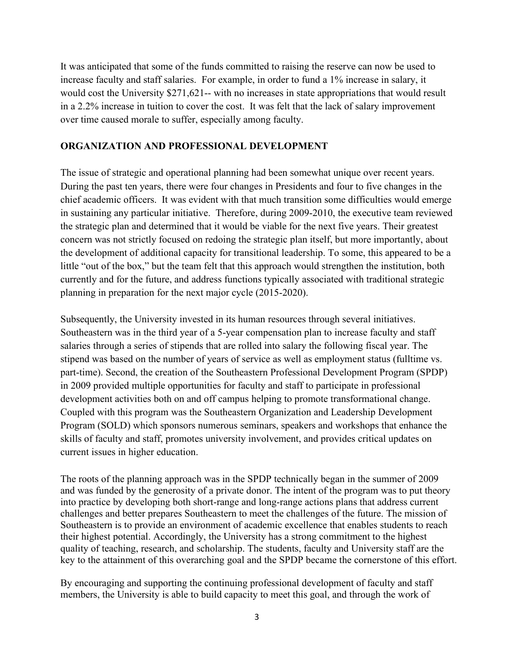It was anticipated that some of the funds committed to raising the reserve can now be used to increase faculty and staff salaries. For example, in order to fund a 1% increase in salary, it would cost the University \$271,621-- with no increases in state appropriations that would result in a 2.2% increase in tuition to cover the cost. It was felt that the lack of salary improvement over time caused morale to suffer, especially among faculty.

#### **ORGANIZATION AND PROFESSIONAL DEVELOPMENT**

The issue of strategic and operational planning had been somewhat unique over recent years. During the past ten years, there were four changes in Presidents and four to five changes in the chief academic officers. It was evident with that much transition some difficulties would emerge in sustaining any particular initiative. Therefore, during 2009-2010, the executive team reviewed the strategic plan and determined that it would be viable for the next five years. Their greatest concern was not strictly focused on redoing the strategic plan itself, but more importantly, about the development of additional capacity for transitional leadership. To some, this appeared to be a little "out of the box," but the team felt that this approach would strengthen the institution, both currently and for the future, and address functions typically associated with traditional strategic planning in preparation for the next major cycle (2015-2020).

Subsequently, the University invested in its human resources through several initiatives. Southeastern was in the third year of a 5-year compensation plan to increase faculty and staff salaries through a series of stipends that are rolled into salary the following fiscal year. The stipend was based on the number of years of service as well as employment status (fulltime vs. part-time). Second, the creation of the Southeastern Professional Development Program (SPDP) in 2009 provided multiple opportunities for faculty and staff to participate in professional development activities both on and off campus helping to promote transformational change. Coupled with this program was the Southeastern Organization and Leadership Development Program (SOLD) which sponsors numerous seminars, speakers and workshops that enhance the skills of faculty and staff, promotes university involvement, and provides critical updates on current issues in higher education.

The roots of the planning approach was in the SPDP technically began in the summer of 2009 and was funded by the generosity of a private donor. The intent of the program was to put theory into practice by developing both short-range and long-range actions plans that address current challenges and better prepares Southeastern to meet the challenges of the future. The mission of Southeastern is to provide an environment of academic excellence that enables students to reach their highest potential. Accordingly, the University has a strong commitment to the highest quality of teaching, research, and scholarship. The students, faculty and University staff are the key to the attainment of this overarching goal and the SPDP became the cornerstone of this effort.

By encouraging and supporting the continuing professional development of faculty and staff members, the University is able to build capacity to meet this goal, and through the work of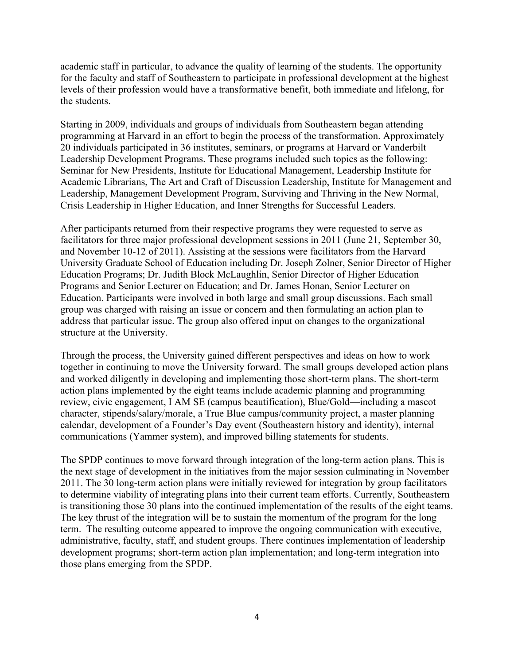academic staff in particular, to advance the quality of learning of the students. The opportunity for the faculty and staff of Southeastern to participate in professional development at the highest levels of their profession would have a transformative benefit, both immediate and lifelong, for the students.

Starting in 2009, individuals and groups of individuals from Southeastern began attending programming at Harvard in an effort to begin the process of the transformation. Approximately 20 individuals participated in 36 institutes, seminars, or programs at Harvard or Vanderbilt Leadership Development Programs. These programs included such topics as the following: Seminar for New Presidents, Institute for Educational Management, Leadership Institute for Academic Librarians, The Art and Craft of Discussion Leadership, Institute for Management and Leadership, Management Development Program, Surviving and Thriving in the New Normal, Crisis Leadership in Higher Education, and Inner Strengths for Successful Leaders.

After participants returned from their respective programs they were requested to serve as facilitators for three major professional development sessions in 2011 (June 21, September 30, and November 10-12 of 2011). Assisting at the sessions were facilitators from the Harvard University Graduate School of Education including Dr. Joseph Zolner, Senior Director of Higher Education Programs; Dr. Judith Block McLaughlin, Senior Director of Higher Education Programs and Senior Lecturer on Education; and Dr. James Honan, Senior Lecturer on Education. Participants were involved in both large and small group discussions. Each small group was charged with raising an issue or concern and then formulating an action plan to address that particular issue. The group also offered input on changes to the organizational structure at the University.

Through the process, the University gained different perspectives and ideas on how to work together in continuing to move the University forward. The small groups developed action plans and worked diligently in developing and implementing those short-term plans. The short-term action plans implemented by the eight teams include academic planning and programming review, civic engagement, I AM SE (campus beautification), Blue/Gold—including a mascot character, stipends/salary/morale, a True Blue campus/community project, a master planning calendar, development of a Founder's Day event (Southeastern history and identity), internal communications (Yammer system), and improved billing statements for students.

The SPDP continues to move forward through integration of the long-term action plans. This is the next stage of development in the initiatives from the major session culminating in November 2011. The 30 long-term action plans were initially reviewed for integration by group facilitators to determine viability of integrating plans into their current team efforts. Currently, Southeastern is transitioning those 30 plans into the continued implementation of the results of the eight teams. The key thrust of the integration will be to sustain the momentum of the program for the long term. The resulting outcome appeared to improve the ongoing communication with executive, administrative, faculty, staff, and student groups. There continues implementation of leadership development programs; short-term action plan implementation; and long-term integration into those plans emerging from the SPDP.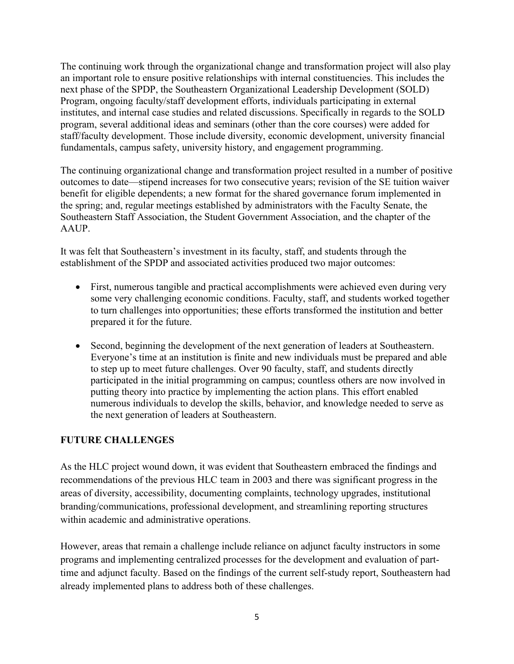The continuing work through the organizational change and transformation project will also play an important role to ensure positive relationships with internal constituencies. This includes the next phase of the SPDP, the Southeastern Organizational Leadership Development (SOLD) Program, ongoing faculty/staff development efforts, individuals participating in external institutes, and internal case studies and related discussions. Specifically in regards to the SOLD program, several additional ideas and seminars (other than the core courses) were added for staff/faculty development. Those include diversity, economic development, university financial fundamentals, campus safety, university history, and engagement programming.

The continuing organizational change and transformation project resulted in a number of positive outcomes to date—stipend increases for two consecutive years; revision of the SE tuition waiver benefit for eligible dependents; a new format for the shared governance forum implemented in the spring; and, regular meetings established by administrators with the Faculty Senate, the Southeastern Staff Association, the Student Government Association, and the chapter of the **AAUP** 

It was felt that Southeastern's investment in its faculty, staff, and students through the establishment of the SPDP and associated activities produced two major outcomes:

- First, numerous tangible and practical accomplishments were achieved even during very some very challenging economic conditions. Faculty, staff, and students worked together to turn challenges into opportunities; these efforts transformed the institution and better prepared it for the future.
- Second, beginning the development of the next generation of leaders at Southeastern. Everyone's time at an institution is finite and new individuals must be prepared and able to step up to meet future challenges. Over 90 faculty, staff, and students directly participated in the initial programming on campus; countless others are now involved in putting theory into practice by implementing the action plans. This effort enabled numerous individuals to develop the skills, behavior, and knowledge needed to serve as the next generation of leaders at Southeastern.

# **FUTURE CHALLENGES**

As the HLC project wound down, it was evident that Southeastern embraced the findings and recommendations of the previous HLC team in 2003 and there was significant progress in the areas of diversity, accessibility, documenting complaints, technology upgrades, institutional branding/communications, professional development, and streamlining reporting structures within academic and administrative operations.

However, areas that remain a challenge include reliance on adjunct faculty instructors in some programs and implementing centralized processes for the development and evaluation of parttime and adjunct faculty. Based on the findings of the current self-study report, Southeastern had already implemented plans to address both of these challenges.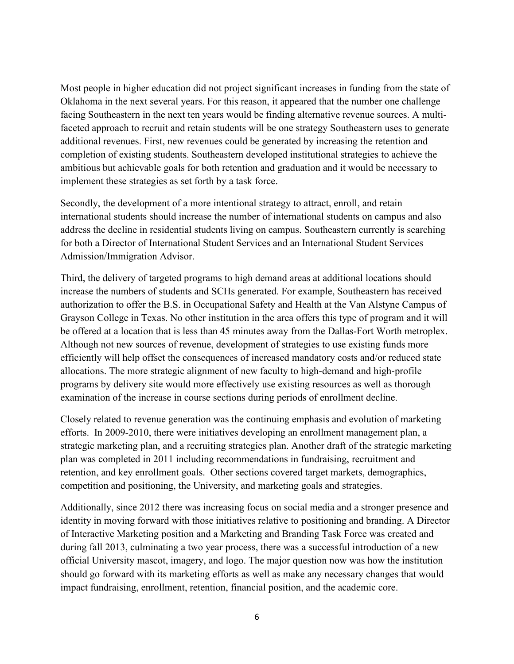Most people in higher education did not project significant increases in funding from the state of Oklahoma in the next several years. For this reason, it appeared that the number one challenge facing Southeastern in the next ten years would be finding alternative revenue sources. A multifaceted approach to recruit and retain students will be one strategy Southeastern uses to generate additional revenues. First, new revenues could be generated by increasing the retention and completion of existing students. Southeastern developed institutional strategies to achieve the ambitious but achievable goals for both retention and graduation and it would be necessary to implement these strategies as set forth by a task force.

Secondly, the development of a more intentional strategy to attract, enroll, and retain international students should increase the number of international students on campus and also address the decline in residential students living on campus. Southeastern currently is searching for both a Director of International Student Services and an International Student Services Admission/Immigration Advisor.

Third, the delivery of targeted programs to high demand areas at additional locations should increase the numbers of students and SCHs generated. For example, Southeastern has received authorization to offer the B.S. in Occupational Safety and Health at the Van Alstyne Campus of Grayson College in Texas. No other institution in the area offers this type of program and it will be offered at a location that is less than 45 minutes away from the Dallas-Fort Worth metroplex. Although not new sources of revenue, development of strategies to use existing funds more efficiently will help offset the consequences ofincreased mandatory costs and/or reduced state allocations. The more strategic alignment of new faculty to high-demand and high-profile programs by delivery site would more effectively use existing resources as well as thorough examination of the increase in course sections during periods of enrollment decline.

Closely related to revenue generation was the continuing emphasis and evolution of marketing efforts. In 2009-2010, there were initiatives developing an enrollment management plan, a strategic marketing plan, and a recruiting strategies plan. Another draft of the strategic marketing plan was completed in 2011 including recommendations in fundraising, recruitment and retention, and key enrollment goals. Other sections covered target markets, demographics, competition and positioning, the University, and marketing goals and strategies.

Additionally, since 2012 there was increasing focus on social media and a stronger presence and identity in moving forward with those initiatives relative to positioning and branding. A Director of Interactive Marketing position and a Marketing and Branding Task Force was created and during fall 2013, culminating a two year process, there was a successful introduction of a new official University mascot, imagery, and logo. The major question now was how the institution should go forward with its marketing efforts as well as make any necessary changes that would impact fundraising, enrollment, retention, financial position, and the academic core.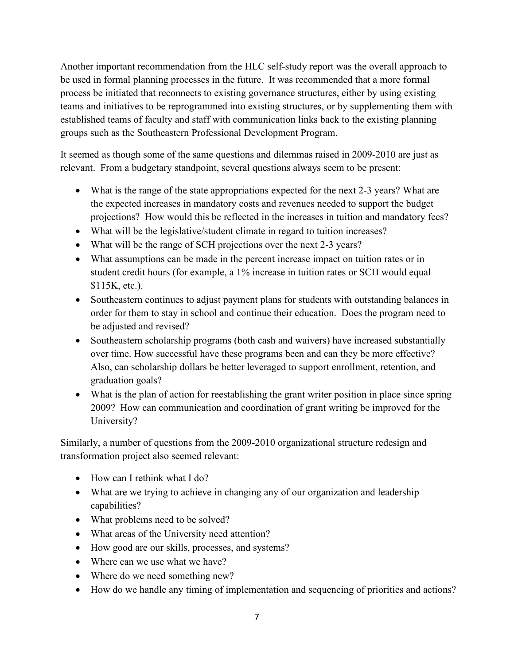Another important recommendation from the HLC self-study report was the overall approach to be used in formal planning processes in the future. It was recommended that a more formal process be initiated that reconnects to existing governance structures, either by using existing teams and initiatives to be reprogrammed into existing structures, or by supplementing them with established teams of faculty and staff with communication links back to the existing planning groups such as the Southeastern Professional Development Program.

It seemed as though some of the same questions and dilemmas raised in 2009-2010 are just as relevant. From a budgetary standpoint, several questions always seem to be present:

- What is the range of the state appropriations expected for the next 2-3 years? What are the expected increases in mandatory costs and revenues needed to support the budget projections? How would this be reflected in the increases in tuition and mandatory fees?
- What will be the legislative/student climate in regard to tuition increases?
- What will be the range of SCH projections over the next 2-3 years?
- What assumptions can be made in the percent increase impact on tuition rates or in student credit hours (for example, a 1% increase in tuition rates or SCH would equal \$115K, etc.).
- Southeastern continues to adjust payment plans for students with outstanding balances in order for them to stay in school and continue their education. Does the program need to be adjusted and revised?
- Southeastern scholarship programs (both cash and waivers) have increased substantially over time. How successful have these programs been and can they be more effective? Also, can scholarship dollars be better leveraged to support enrollment, retention, and graduation goals?
- What is the plan of action for reestablishing the grant writer position in place since spring 2009? How can communication and coordination of grant writing be improved for the University?

Similarly, a number of questions from the 2009-2010 organizational structure redesign and transformation project also seemed relevant:

- How can I rethink what I do?
- What are we trying to achieve in changing any of our organization and leadership capabilities?
- What problems need to be solved?
- What areas of the University need attention?
- How good are our skills, processes, and systems?
- Where can we use what we have?
- Where do we need something new?
- How do we handle any timing of implementation and sequencing of priorities and actions?